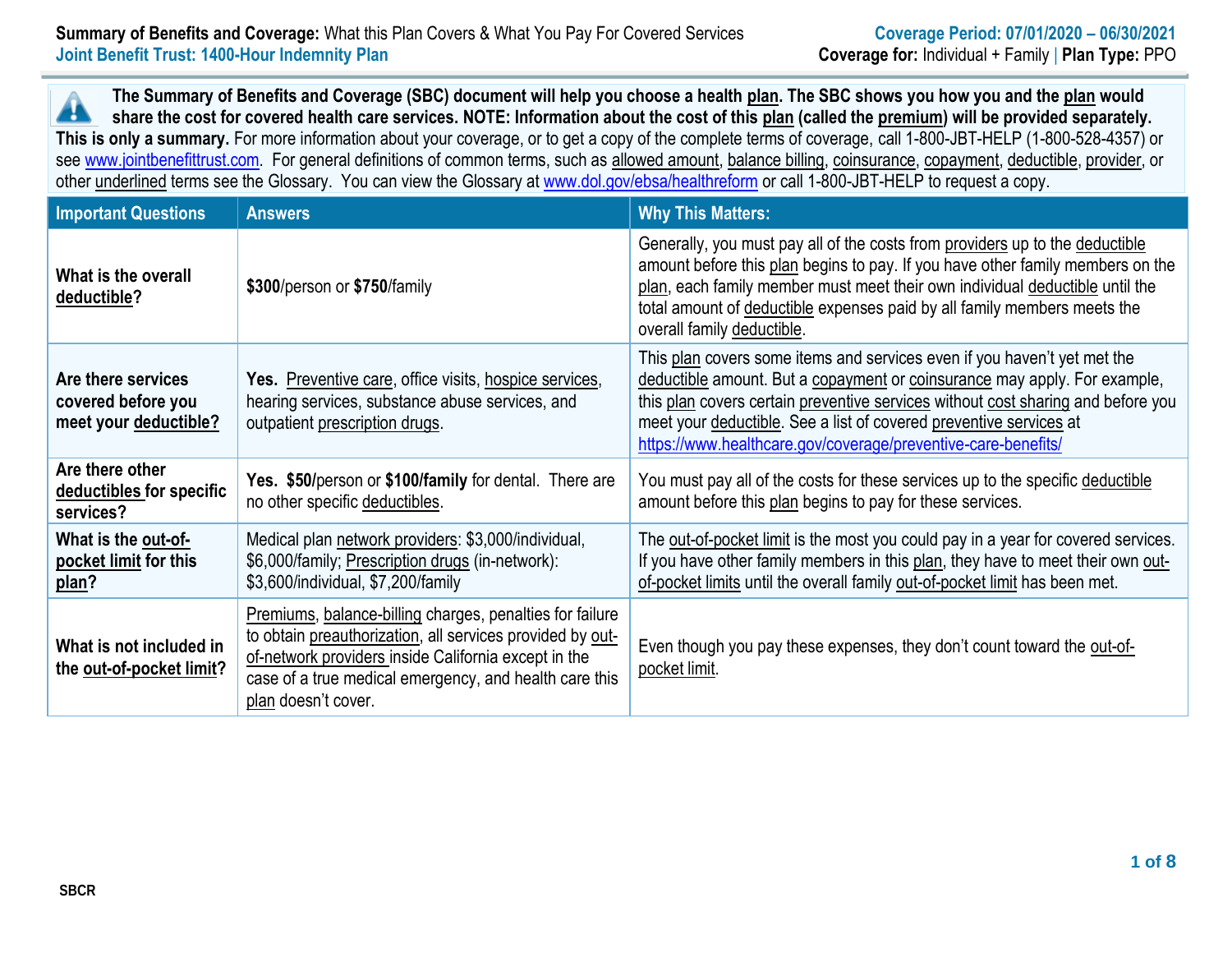**The Summary of Benefits and Coverage (SBC) document will help you choose a health plan. The SBC shows you how you and the plan would**  $\blacktriangle$ **share the cost for covered health care services. NOTE: Information about the cost of this plan (called the premium) will be provided separately. This is only a summary.** For more information about your coverage, or to get a copy of the complete terms of coverage, call 1-800-JBT-HELP (1-800-528-4357) or see [www.jointbenefittrust.com.](http://www.jointbenefittrust.com/) For general definitions of common terms, such as allowed amount, balance billing, coinsurance, copayment, deductible, provider, or other underlined terms see the Glossary. You can view the Glossary at [www.dol.gov/ebsa/healthreform](http://www.dol.gov/ebsa/healthreform) or call 1-800-JBT-HELP to request a copy.

| <b>Important Questions</b>                                        | <b>Answers</b>                                                                                                                                                                                                                                                        | <b>Why This Matters:</b>                                                                                                                                                                                                                                                                                                                                                         |
|-------------------------------------------------------------------|-----------------------------------------------------------------------------------------------------------------------------------------------------------------------------------------------------------------------------------------------------------------------|----------------------------------------------------------------------------------------------------------------------------------------------------------------------------------------------------------------------------------------------------------------------------------------------------------------------------------------------------------------------------------|
| What is the overall<br>deductible?                                | \$300/person or \$750/family                                                                                                                                                                                                                                          | Generally, you must pay all of the costs from providers up to the deductible<br>amount before this plan begins to pay. If you have other family members on the<br>plan, each family member must meet their own individual deductible until the<br>total amount of deductible expenses paid by all family members meets the<br>overall family deductible.                         |
| Are there services<br>covered before you<br>meet your deductible? | Yes. Preventive care, office visits, hospice services,<br>hearing services, substance abuse services, and<br>outpatient prescription drugs.                                                                                                                           | This plan covers some items and services even if you haven't yet met the<br>deductible amount. But a copayment or coinsurance may apply. For example,<br>this plan covers certain preventive services without cost sharing and before you<br>meet your deductible. See a list of covered preventive services at<br>https://www.healthcare.gov/coverage/preventive-care-benefits/ |
| Are there other<br>deductibles for specific<br>services?          | Yes. \$50/person or \$100/family for dental. There are<br>no other specific deductibles.                                                                                                                                                                              | You must pay all of the costs for these services up to the specific deductible<br>amount before this plan begins to pay for these services.                                                                                                                                                                                                                                      |
| What is the out-of-<br>pocket limit for this<br>plan?             | Medical plan network providers: \$3,000/individual,<br>\$6,000/family; Prescription drugs (in-network):<br>\$3,600/individual, \$7,200/family                                                                                                                         | The out-of-pocket limit is the most you could pay in a year for covered services.<br>If you have other family members in this plan, they have to meet their own out-<br>of-pocket limits until the overall family out-of-pocket limit has been met.                                                                                                                              |
| What is not included in<br>the out-of-pocket limit?               | <b>Premiums, balance-billing charges, penalties for failure</b><br>to obtain preauthorization, all services provided by out-<br>of-network providers inside California except in the<br>case of a true medical emergency, and health care this<br>plan doesn't cover. | Even though you pay these expenses, they don't count toward the out-of-<br>pocket limit.                                                                                                                                                                                                                                                                                         |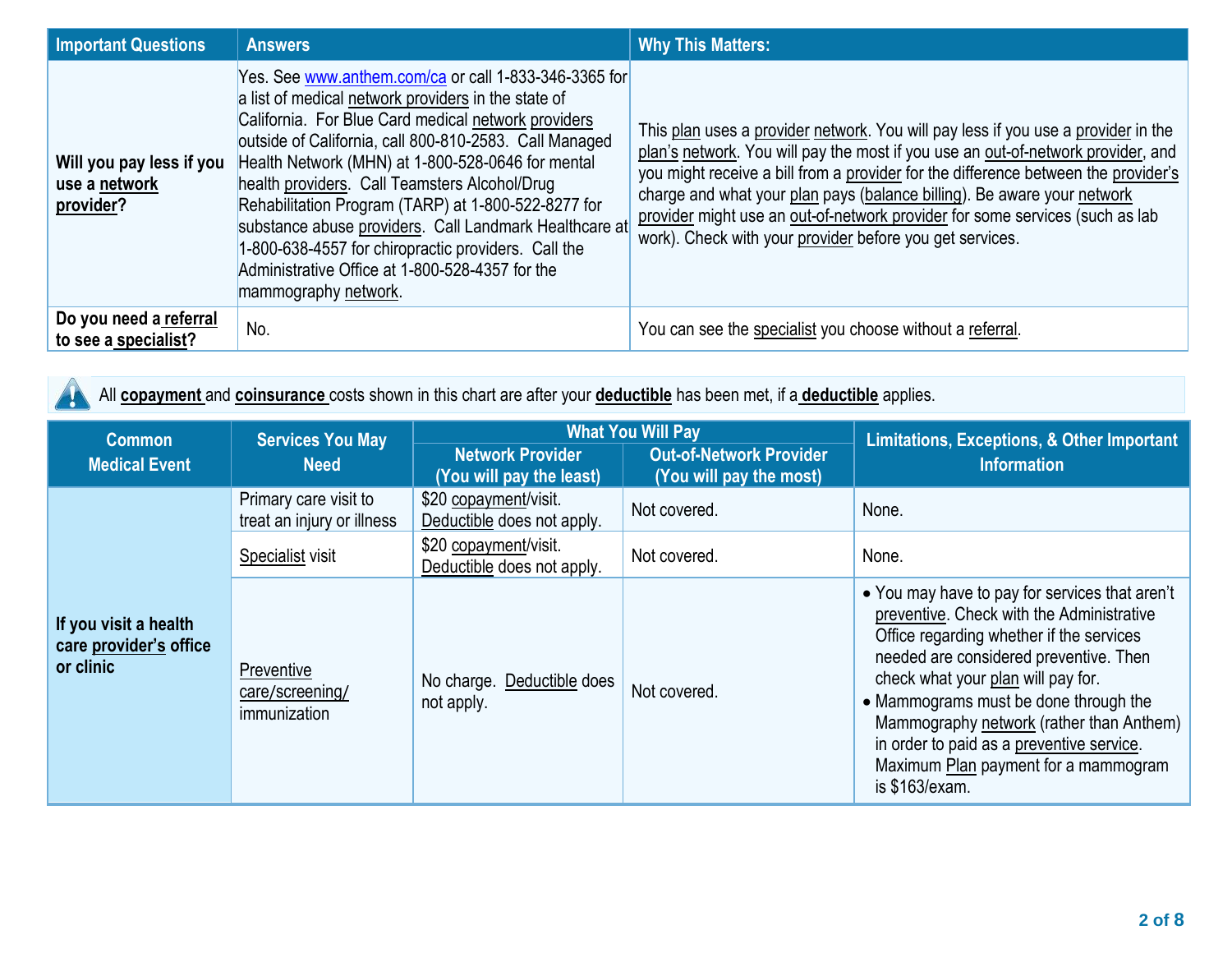| <b>Important Questions</b>                             | <b>Answers</b>                                                                                                                                                                                                                                                                                                                                                                                                                                                                                                                                                                         | <b>Why This Matters:</b>                                                                                                                                                                                                                                                                                                                                                                                                                                                           |
|--------------------------------------------------------|----------------------------------------------------------------------------------------------------------------------------------------------------------------------------------------------------------------------------------------------------------------------------------------------------------------------------------------------------------------------------------------------------------------------------------------------------------------------------------------------------------------------------------------------------------------------------------------|------------------------------------------------------------------------------------------------------------------------------------------------------------------------------------------------------------------------------------------------------------------------------------------------------------------------------------------------------------------------------------------------------------------------------------------------------------------------------------|
| Will you pay less if you<br>use a network<br>provider? | Yes. See www.anthem.com/ca or call 1-833-346-3365 for<br>a list of medical network providers in the state of<br>California. For Blue Card medical network providers<br>outside of California, call 800-810-2583. Call Managed<br>Health Network (MHN) at 1-800-528-0646 for mental<br>health providers. Call Teamsters Alcohol/Drug<br>Rehabilitation Program (TARP) at 1-800-522-8277 for<br>substance abuse providers. Call Landmark Healthcare at<br>1-800-638-4557 for chiropractic providers. Call the<br>Administrative Office at 1-800-528-4357 for the<br>mammography network. | This plan uses a provider network. You will pay less if you use a provider in the<br>plan's network. You will pay the most if you use an out-of-network provider, and<br>you might receive a bill from a provider for the difference between the provider's<br>charge and what your plan pays (balance billing). Be aware your network<br>provider might use an out-of-network provider for some services (such as lab<br>work). Check with your provider before you get services. |
| Do you need a referral<br>to see a specialist?         | No.                                                                                                                                                                                                                                                                                                                                                                                                                                                                                                                                                                                    | You can see the specialist you choose without a referral.                                                                                                                                                                                                                                                                                                                                                                                                                          |

All **copayment** and **coinsurance** costs shown in this chart are after your **deductible** has been met, if a **deductible** applies.

| <b>Common</b>                                                | <b>Services You May</b>                             |                                                     | <b>What You Will Pay</b>                                  | <b>Limitations, Exceptions, &amp; Other Important</b>                                                                                                                                                                                                                                                                                                                                                               |
|--------------------------------------------------------------|-----------------------------------------------------|-----------------------------------------------------|-----------------------------------------------------------|---------------------------------------------------------------------------------------------------------------------------------------------------------------------------------------------------------------------------------------------------------------------------------------------------------------------------------------------------------------------------------------------------------------------|
| <b>Medical Event</b><br><b>Need</b>                          |                                                     | <b>Network Provider</b><br>(You will pay the least) | <b>Out-of-Network Provider</b><br>(You will pay the most) | <b>Information</b>                                                                                                                                                                                                                                                                                                                                                                                                  |
|                                                              | Primary care visit to<br>treat an injury or illness | \$20 copayment/visit.<br>Deductible does not apply. | Not covered.                                              | None.                                                                                                                                                                                                                                                                                                                                                                                                               |
|                                                              | Specialist visit                                    | \$20 copayment/visit.<br>Deductible does not apply. | Not covered.                                              | None.                                                                                                                                                                                                                                                                                                                                                                                                               |
| If you visit a health<br>care provider's office<br>or clinic | Preventive<br>care/screening/<br>immunization       | No charge. Deductible does<br>not apply.            | Not covered.                                              | • You may have to pay for services that aren't<br>preventive. Check with the Administrative<br>Office regarding whether if the services<br>needed are considered preventive. Then<br>check what your plan will pay for.<br>• Mammograms must be done through the<br>Mammography network (rather than Anthem)<br>in order to paid as a preventive service.<br>Maximum Plan payment for a mammogram<br>is \$163/exam. |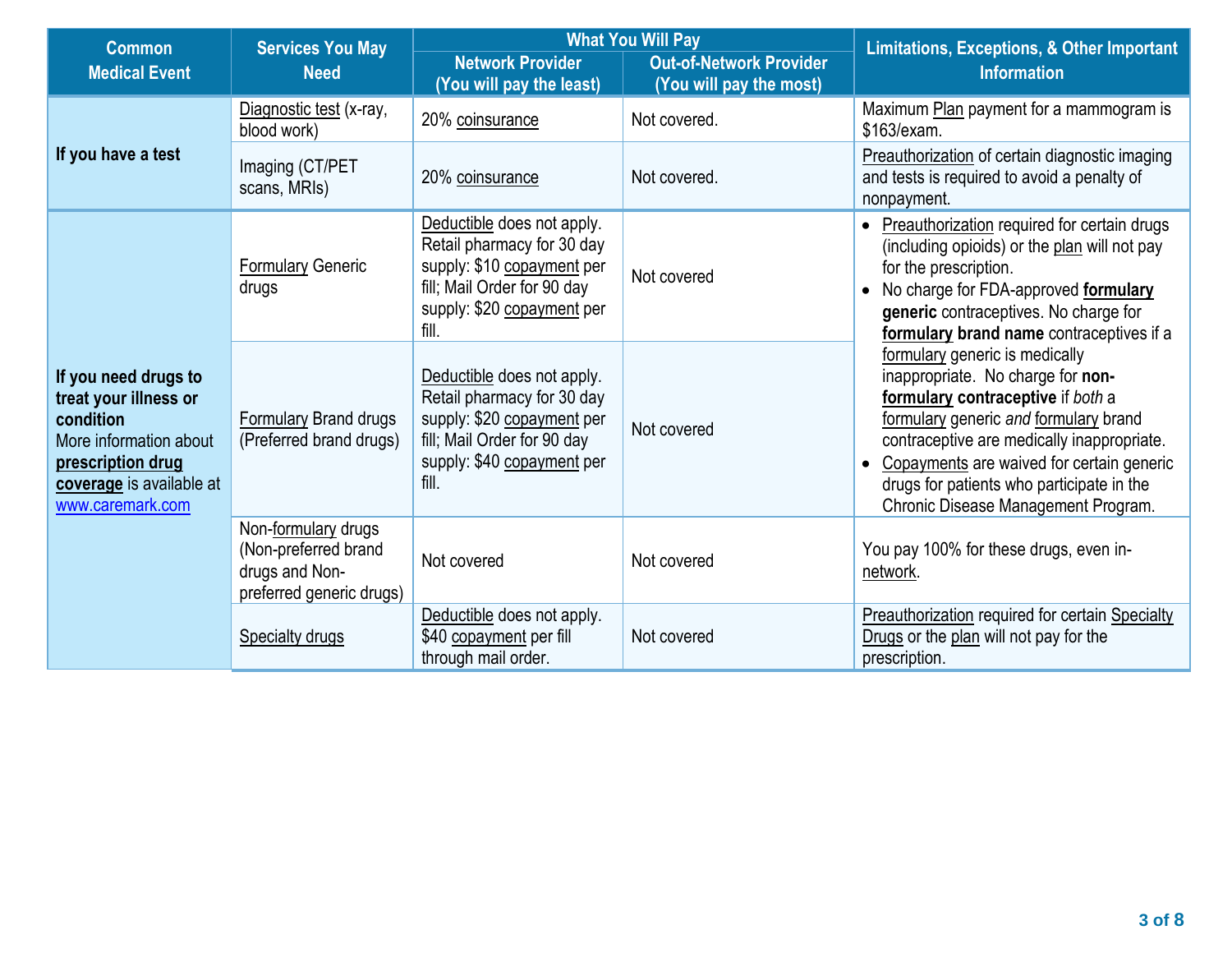| <b>Common</b>                                                                                                                                             | <b>Services You May</b>                                                                                                                       |                                                                                                                                                              | <b>What You Will Pay</b>                                  | <b>Limitations, Exceptions, &amp; Other Important</b>                                                                                                                                                                                                                                                                            |  |
|-----------------------------------------------------------------------------------------------------------------------------------------------------------|-----------------------------------------------------------------------------------------------------------------------------------------------|--------------------------------------------------------------------------------------------------------------------------------------------------------------|-----------------------------------------------------------|----------------------------------------------------------------------------------------------------------------------------------------------------------------------------------------------------------------------------------------------------------------------------------------------------------------------------------|--|
| <b>Medical Event</b>                                                                                                                                      | <b>Need</b>                                                                                                                                   | <b>Network Provider</b><br>(You will pay the least)                                                                                                          | <b>Out-of-Network Provider</b><br>(You will pay the most) | <b>Information</b>                                                                                                                                                                                                                                                                                                               |  |
|                                                                                                                                                           | Diagnostic test (x-ray,<br>blood work)                                                                                                        | 20% coinsurance                                                                                                                                              | Not covered.                                              | Maximum Plan payment for a mammogram is<br>\$163/exam.                                                                                                                                                                                                                                                                           |  |
| If you have a test                                                                                                                                        | Imaging (CT/PET<br>scans, MRIs)                                                                                                               | 20% coinsurance                                                                                                                                              | Not covered.                                              | Preauthorization of certain diagnostic imaging<br>and tests is required to avoid a penalty of<br>nonpayment.                                                                                                                                                                                                                     |  |
|                                                                                                                                                           | <b>Formulary Generic</b><br>drugs                                                                                                             | Deductible does not apply.<br>Retail pharmacy for 30 day<br>supply: \$10 copayment per<br>fill; Mail Order for 90 day<br>supply: \$20 copayment per<br>fill. | Not covered                                               | Preauthorization required for certain drugs<br>(including opioids) or the plan will not pay<br>for the prescription.<br>No charge for FDA-approved formulary<br>generic contraceptives. No charge for<br>formulary brand name contraceptives if a                                                                                |  |
| If you need drugs to<br>treat your illness or<br>condition<br>More information about<br>prescription drug<br>coverage is available at<br>www.caremark.com | Formulary Brand drugs<br>(Preferred brand drugs)<br>Non-formulary drugs<br>(Non-preferred brand<br>drugs and Non-<br>preferred generic drugs) | Deductible does not apply.<br>Retail pharmacy for 30 day<br>supply: \$20 copayment per<br>fill; Mail Order for 90 day<br>supply: \$40 copayment per<br>fill. | Not covered                                               | formulary generic is medically<br>inappropriate. No charge for non-<br>formulary contraceptive if both a<br>formulary generic and formulary brand<br>contraceptive are medically inappropriate.<br>Copayments are waived for certain generic<br>drugs for patients who participate in the<br>Chronic Disease Management Program. |  |
|                                                                                                                                                           |                                                                                                                                               | Not covered                                                                                                                                                  | Not covered                                               | You pay 100% for these drugs, even in-<br>network.                                                                                                                                                                                                                                                                               |  |
|                                                                                                                                                           | <b>Specialty drugs</b>                                                                                                                        | Deductible does not apply.<br>\$40 copayment per fill<br>through mail order.                                                                                 | Not covered                                               | Preauthorization required for certain Specialty<br>Drugs or the plan will not pay for the<br>prescription.                                                                                                                                                                                                                       |  |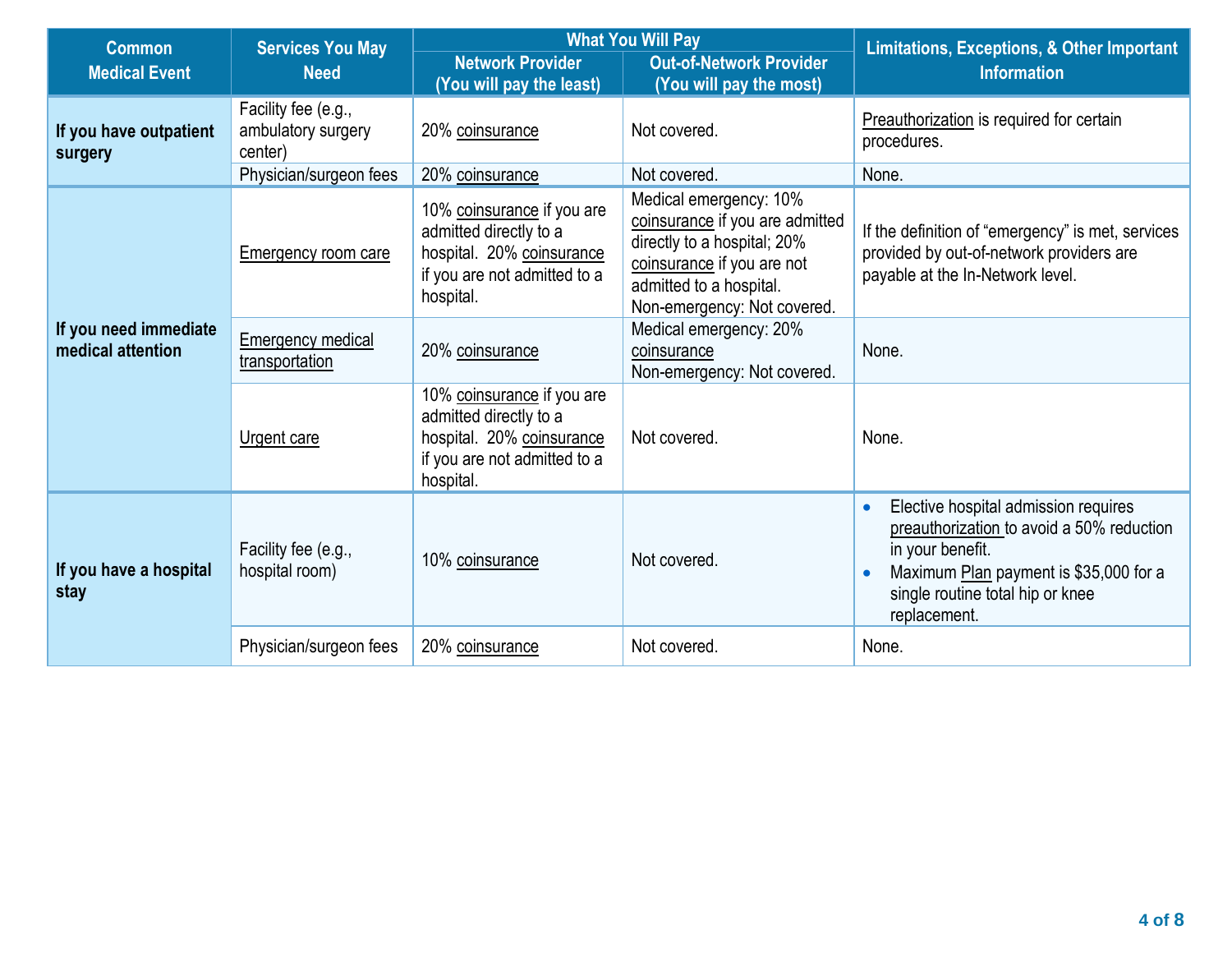| <b>Common</b>                              | <b>Services You May</b>                              |                                                                                                                                | <b>What You Will Pay</b>                                                                                                                                                         | <b>Limitations, Exceptions, &amp; Other Important</b>                                                                                                                                                                         |
|--------------------------------------------|------------------------------------------------------|--------------------------------------------------------------------------------------------------------------------------------|----------------------------------------------------------------------------------------------------------------------------------------------------------------------------------|-------------------------------------------------------------------------------------------------------------------------------------------------------------------------------------------------------------------------------|
| <b>Medical Event</b>                       | <b>Need</b>                                          | <b>Network Provider</b><br>(You will pay the least)                                                                            | <b>Out-of-Network Provider</b><br>(You will pay the most)                                                                                                                        | <b>Information</b>                                                                                                                                                                                                            |
| If you have outpatient<br>surgery          | Facility fee (e.g.,<br>ambulatory surgery<br>center) | 20% coinsurance                                                                                                                | Not covered.                                                                                                                                                                     | Preauthorization is required for certain<br>procedures.                                                                                                                                                                       |
|                                            | Physician/surgeon fees                               | 20% coinsurance                                                                                                                | Not covered.                                                                                                                                                                     | None.                                                                                                                                                                                                                         |
|                                            | Emergency room care                                  | 10% coinsurance if you are<br>admitted directly to a<br>hospital. 20% coinsurance<br>if you are not admitted to a<br>hospital. | Medical emergency: 10%<br>coinsurance if you are admitted<br>directly to a hospital; 20%<br>coinsurance if you are not<br>admitted to a hospital.<br>Non-emergency: Not covered. | If the definition of "emergency" is met, services<br>provided by out-of-network providers are<br>payable at the In-Network level.                                                                                             |
| If you need immediate<br>medical attention | <b>Emergency medical</b><br>transportation           | 20% coinsurance                                                                                                                | Medical emergency: 20%<br>coinsurance<br>Non-emergency: Not covered.                                                                                                             | None.                                                                                                                                                                                                                         |
|                                            | Urgent care                                          | 10% coinsurance if you are<br>admitted directly to a<br>hospital. 20% coinsurance<br>if you are not admitted to a<br>hospital. | Not covered.                                                                                                                                                                     | None.                                                                                                                                                                                                                         |
| If you have a hospital<br>stay             | Facility fee (e.g.,<br>hospital room)                | 10% coinsurance                                                                                                                | Not covered.                                                                                                                                                                     | Elective hospital admission requires<br>$\bullet$<br>preauthorization to avoid a 50% reduction<br>in your benefit.<br>Maximum Plan payment is \$35,000 for a<br>$\bullet$<br>single routine total hip or knee<br>replacement. |
|                                            | Physician/surgeon fees                               | 20% coinsurance                                                                                                                | Not covered.                                                                                                                                                                     | None.                                                                                                                                                                                                                         |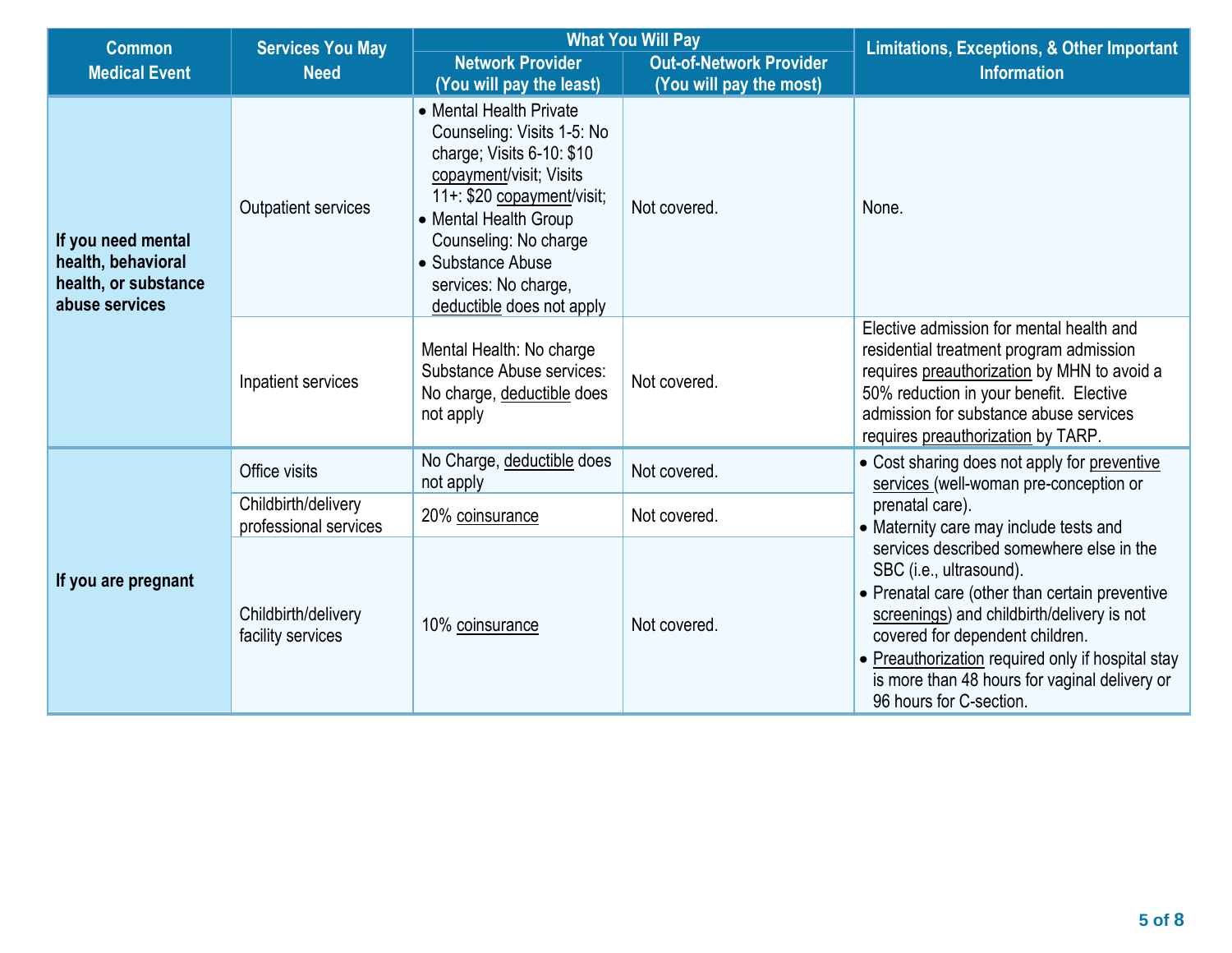| <b>Common</b>                                                                      | <b>Services You May</b>                                                                                                |                                                                                                                                                                                                                                                                         | <b>What You Will Pay</b>                                  | <b>Limitations, Exceptions, &amp; Other Important</b>                                                                                                                                                                                                                                                                                   |  |
|------------------------------------------------------------------------------------|------------------------------------------------------------------------------------------------------------------------|-------------------------------------------------------------------------------------------------------------------------------------------------------------------------------------------------------------------------------------------------------------------------|-----------------------------------------------------------|-----------------------------------------------------------------------------------------------------------------------------------------------------------------------------------------------------------------------------------------------------------------------------------------------------------------------------------------|--|
| <b>Medical Event</b>                                                               | <b>Need</b>                                                                                                            | <b>Network Provider</b><br>(You will pay the least)                                                                                                                                                                                                                     | <b>Out-of-Network Provider</b><br>(You will pay the most) | <b>Information</b>                                                                                                                                                                                                                                                                                                                      |  |
| If you need mental<br>health, behavioral<br>health, or substance<br>abuse services | <b>Outpatient services</b>                                                                                             | • Mental Health Private<br>Counseling: Visits 1-5: No<br>charge; Visits 6-10: \$10<br>copayment/visit; Visits<br>11+: \$20 copayment/visit;<br>• Mental Health Group<br>Counseling: No charge<br>• Substance Abuse<br>services: No charge,<br>deductible does not apply | Not covered.                                              | None.                                                                                                                                                                                                                                                                                                                                   |  |
|                                                                                    | Mental Health: No charge<br>Substance Abuse services:<br>Inpatient services<br>No charge, deductible does<br>not apply |                                                                                                                                                                                                                                                                         | Not covered.                                              | Elective admission for mental health and<br>residential treatment program admission<br>requires preauthorization by MHN to avoid a<br>50% reduction in your benefit. Elective<br>admission for substance abuse services<br>requires preauthorization by TARP.                                                                           |  |
|                                                                                    | Office visits                                                                                                          | No Charge, deductible does<br>not apply                                                                                                                                                                                                                                 | Not covered.                                              | • Cost sharing does not apply for preventive<br>services (well-woman pre-conception or                                                                                                                                                                                                                                                  |  |
|                                                                                    | Childbirth/delivery<br>professional services                                                                           | 20% coinsurance                                                                                                                                                                                                                                                         | Not covered.                                              | prenatal care).<br>• Maternity care may include tests and                                                                                                                                                                                                                                                                               |  |
| If you are pregnant                                                                | Childbirth/delivery<br>10% coinsurance<br>facility services                                                            |                                                                                                                                                                                                                                                                         | Not covered.                                              | services described somewhere else in the<br>SBC (i.e., ultrasound).<br>• Prenatal care (other than certain preventive<br>screenings) and childbirth/delivery is not<br>covered for dependent children.<br>• Preauthorization required only if hospital stay<br>is more than 48 hours for vaginal delivery or<br>96 hours for C-section. |  |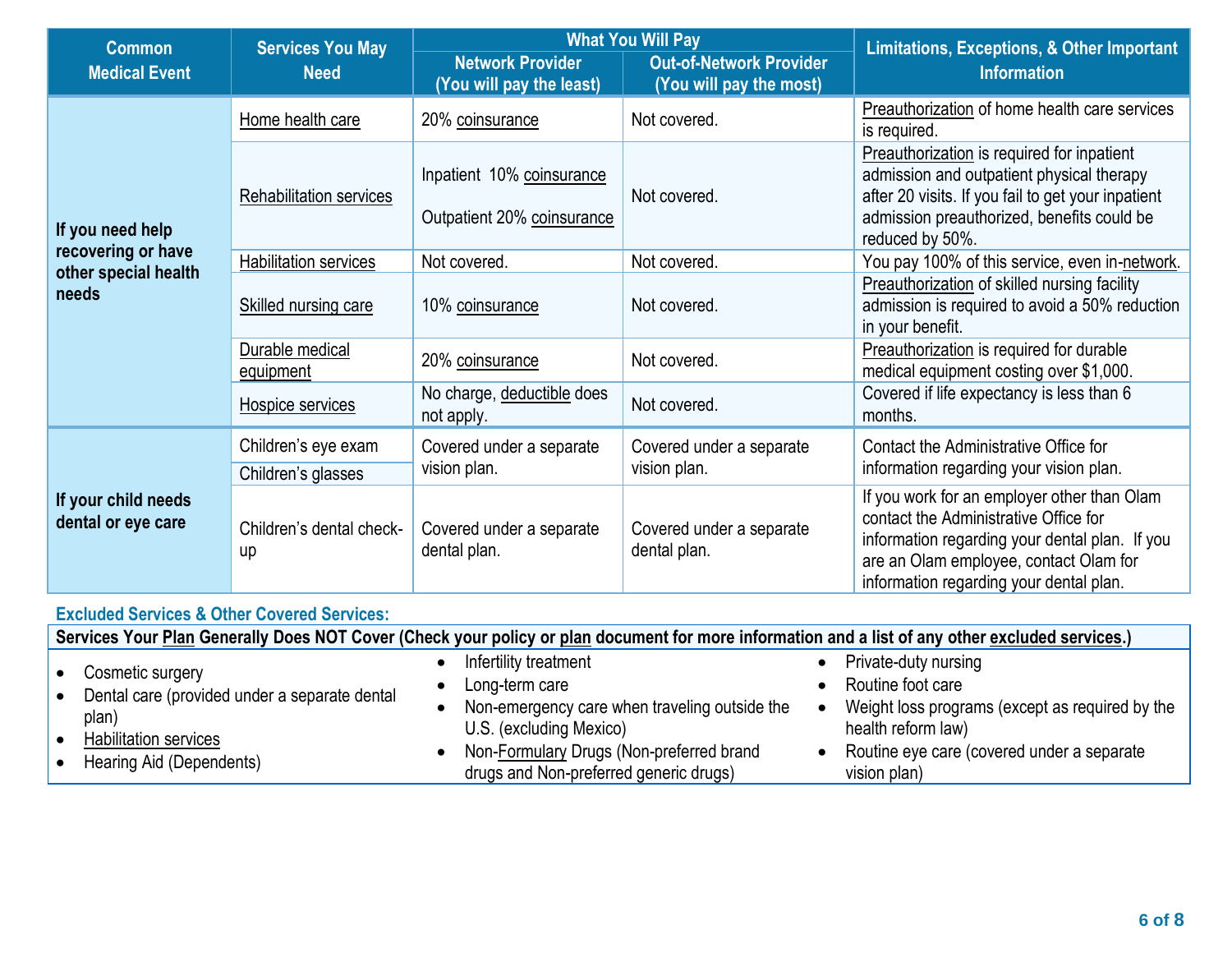| <b>Services You May</b><br><b>Common</b>  |                                |                                                         | <b>What You Will Pay</b>                                  | <b>Limitations, Exceptions, &amp; Other Important</b>                                                                                                                                                                       |
|-------------------------------------------|--------------------------------|---------------------------------------------------------|-----------------------------------------------------------|-----------------------------------------------------------------------------------------------------------------------------------------------------------------------------------------------------------------------------|
| <b>Medical Event</b>                      | <b>Need</b>                    | <b>Network Provider</b><br>(You will pay the least)     | <b>Out-of-Network Provider</b><br>(You will pay the most) | <b>Information</b>                                                                                                                                                                                                          |
|                                           | Home health care               | 20% coinsurance                                         | Not covered.                                              | Preauthorization of home health care services<br>is required.                                                                                                                                                               |
| If you need help                          | Rehabilitation services        | Inpatient 10% coinsurance<br>Outpatient 20% coinsurance | Not covered.                                              | Preauthorization is required for inpatient<br>admission and outpatient physical therapy<br>after 20 visits. If you fail to get your inpatient<br>admission preauthorized, benefits could be<br>reduced by 50%.              |
| recovering or have                        | <b>Habilitation services</b>   | Not covered.                                            | Not covered.                                              | You pay 100% of this service, even in-network.                                                                                                                                                                              |
| other special health<br>needs             | Skilled nursing care           | 10% coinsurance                                         | Not covered.                                              | Preauthorization of skilled nursing facility<br>admission is required to avoid a 50% reduction<br>in your benefit.                                                                                                          |
|                                           | Durable medical<br>equipment   | 20% coinsurance                                         | Not covered.                                              | Preauthorization is required for durable<br>medical equipment costing over \$1,000.                                                                                                                                         |
|                                           | Hospice services               | No charge, deductible does<br>not apply.                | Not covered.                                              | Covered if life expectancy is less than 6<br>months.                                                                                                                                                                        |
|                                           | Children's eye exam            | Covered under a separate                                | Covered under a separate                                  | Contact the Administrative Office for                                                                                                                                                                                       |
|                                           | Children's glasses             | vision plan.                                            | vision plan.                                              | information regarding your vision plan.                                                                                                                                                                                     |
| If your child needs<br>dental or eye care | Children's dental check-<br>up | Covered under a separate<br>dental plan.                | Covered under a separate<br>dental plan.                  | If you work for an employer other than Olam<br>contact the Administrative Office for<br>information regarding your dental plan. If you<br>are an Olam employee, contact Olam for<br>information regarding your dental plan. |

## **Excluded Services & Other Covered Services:**

|       | Services Your Plan Generally Does NOT Cover (Check your policy or plan document for more information and a list of any other excluded services.) |                                                                                                                                                                                                           |                                                                                                                                                                                  |  |  |  |
|-------|--------------------------------------------------------------------------------------------------------------------------------------------------|-----------------------------------------------------------------------------------------------------------------------------------------------------------------------------------------------------------|----------------------------------------------------------------------------------------------------------------------------------------------------------------------------------|--|--|--|
| plan) | Cosmetic surgery<br>Dental care (provided under a separate dental<br>Habilitation services<br>Hearing Aid (Dependents)                           | Infertility treatment<br>Long-term care<br>Non-emergency care when traveling outside the<br>U.S. (excluding Mexico)<br>Non-Formulary Drugs (Non-preferred brand<br>drugs and Non-preferred generic drugs) | Private-duty nursing<br>Routine foot care<br>Weight loss programs (except as required by the<br>health reform law)<br>Routine eye care (covered under a separate<br>vision plan) |  |  |  |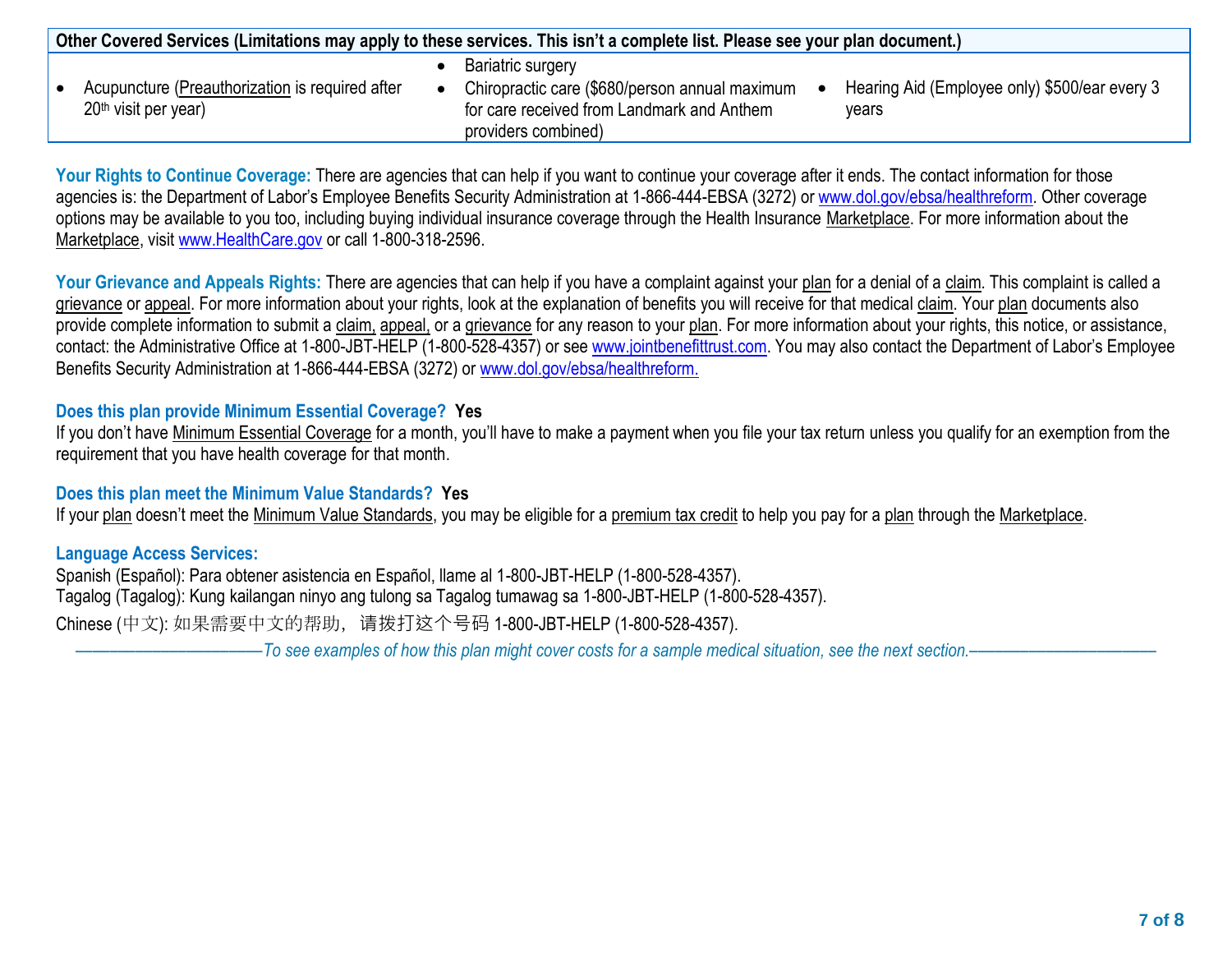| Other Covered Services (Limitations may apply to these services. This isn't a complete list. Please see your plan document.) |  |                                                                                                                                                 |  |                                                        |
|------------------------------------------------------------------------------------------------------------------------------|--|-------------------------------------------------------------------------------------------------------------------------------------------------|--|--------------------------------------------------------|
| Acupuncture (Preauthorization is required after<br>20 <sup>th</sup> visit per year)                                          |  | <b>Bariatric surgery</b><br>Chiropractic care (\$680/person annual maximum<br>for care received from Landmark and Anthem<br>providers combined) |  | Hearing Aid (Employee only) \$500/ear every 3<br>vears |

Your Rights to Continue Coverage: There are agencies that can help if you want to continue your coverage after it ends. The contact information for those agencies is: the Department of Labor's Employee Benefits Security Administration at 1-866-444-EBSA (3272) or [www.dol.gov/ebsa/healthreform.](file:///C:/NRPortbl/EAST/JLH/www.dol.gov/ebsa/healthreform) Other coverage options may be available to you too, including buying individual insurance coverage through the Health Insurance Marketplace. For more information about the Marketplace, visit [www.HealthCare.gov](http://www.healthcare.gov/) or call 1-800-318-2596.

Your Grievance and Appeals Rights: There are agencies that can help if you have a complaint against your plan for a denial of a claim. This complaint is called a grievance or appeal. For more information about your rights, look at the explanation of benefits you will receive for that medical claim. Your plan documents also provide complete information to submit a claim, appeal, or a grievance for any reason to your plan. For more information about your rights, this notice, or assistance, contact: the Administrative Office at 1-800-JBT-HELP (1-800-528-4357) or se[e www.jointbenefittrust.com](http://www.jointbenefittrust.com/). You may also contact the Department of Labor's Employee Benefits Security Administration at 1-866-444-EBSA (3272) or [www.dol.gov/ebsa/healthreform.](file:///C:/NRPortbl/EAST/JLH/www.dol.gov/ebsa/healthreform)

## **Does this plan provide Minimum Essential Coverage? Yes**

If you don't have Minimum Essential Coverage for a month, you'll have to make a payment when you file your tax return unless you qualify for an exemption from the requirement that you have health coverage for that month.

#### **Does this plan meet the Minimum Value Standards? Yes**

If your plan doesn't meet the Minimum Value Standards, you may be eligible for a premium tax credit to help you pay for a plan through the Marketplace.

#### **Language Access Services:**

Spanish (Español): Para obtener asistencia en Español, llame al 1-800-JBT-HELP (1-800-528-4357). Tagalog (Tagalog): Kung kailangan ninyo ang tulong sa Tagalog tumawag sa 1-800-JBT-HELP (1-800-528-4357).

Chinese (中文): 如果需要中文的帮助,请拨打这个号码 1-800-JBT-HELP (1-800-528-4357).

––––––––––––––––––––––*To see examples of how this plan might cover costs for a sample medical situation, see the next section.–––––––––––*–––––––––––